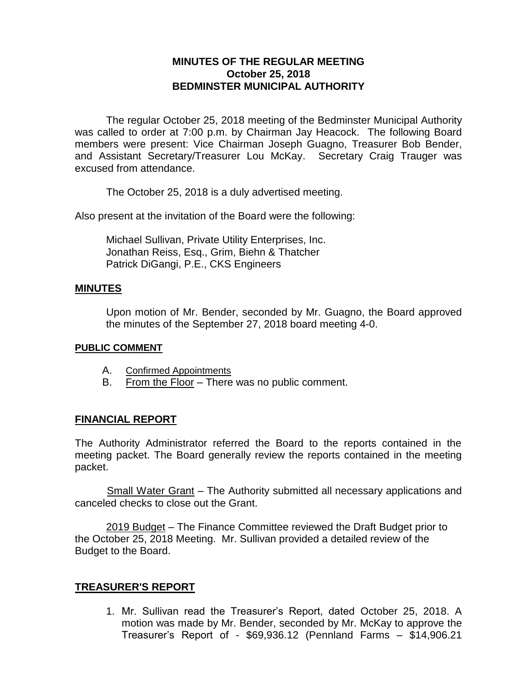## **MINUTES OF THE REGULAR MEETING October 25, 2018 BEDMINSTER MUNICIPAL AUTHORITY**

The regular October 25, 2018 meeting of the Bedminster Municipal Authority was called to order at 7:00 p.m. by Chairman Jay Heacock. The following Board members were present: Vice Chairman Joseph Guagno, Treasurer Bob Bender, and Assistant Secretary/Treasurer Lou McKay. Secretary Craig Trauger was excused from attendance.

The October 25, 2018 is a duly advertised meeting.

Also present at the invitation of the Board were the following:

Michael Sullivan, Private Utility Enterprises, Inc. Jonathan Reiss, Esq., Grim, Biehn & Thatcher Patrick DiGangi, P.E., CKS Engineers

### **MINUTES**

Upon motion of Mr. Bender, seconded by Mr. Guagno, the Board approved the minutes of the September 27, 2018 board meeting 4-0.

#### **PUBLIC COMMENT**

- A. Confirmed Appointments
- B. From the Floor There was no public comment.

## **FINANCIAL REPORT**

The Authority Administrator referred the Board to the reports contained in the meeting packet. The Board generally review the reports contained in the meeting packet.

 Small Water Grant – The Authority submitted all necessary applications and canceled checks to close out the Grant.

2019 Budget – The Finance Committee reviewed the Draft Budget prior to the October 25, 2018 Meeting. Mr. Sullivan provided a detailed review of the Budget to the Board.

## **TREASURER'S REPORT**

1. Mr. Sullivan read the Treasurer's Report, dated October 25, 2018. A motion was made by Mr. Bender, seconded by Mr. McKay to approve the Treasurer's Report of - \$69,936.12 (Pennland Farms – \$14,906.21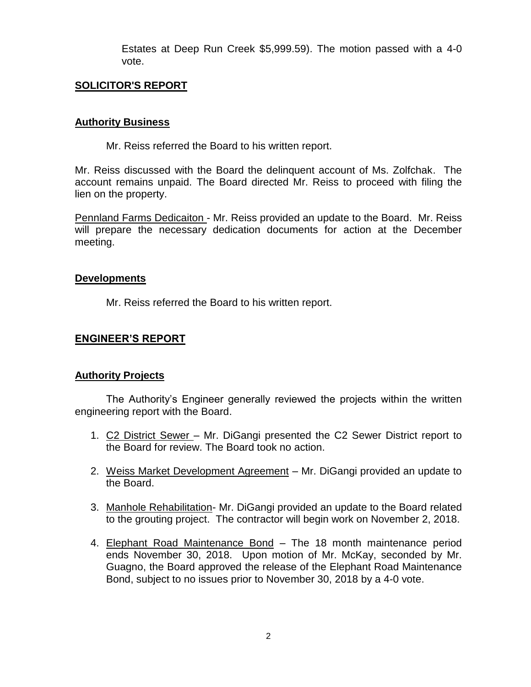Estates at Deep Run Creek \$5,999.59). The motion passed with a 4-0 vote.

### **SOLICITOR'S REPORT**

#### **Authority Business**

Mr. Reiss referred the Board to his written report.

Mr. Reiss discussed with the Board the delinquent account of Ms. Zolfchak. The account remains unpaid. The Board directed Mr. Reiss to proceed with filing the lien on the property.

Pennland Farms Dedicaiton - Mr. Reiss provided an update to the Board. Mr. Reiss will prepare the necessary dedication documents for action at the December meeting.

### **Developments**

Mr. Reiss referred the Board to his written report.

## **ENGINEER'S REPORT**

#### **Authority Projects**

The Authority's Engineer generally reviewed the projects within the written engineering report with the Board.

- 1. C2 District Sewer Mr. DiGangi presented the C2 Sewer District report to the Board for review. The Board took no action.
- 2. Weiss Market Development Agreement Mr. DiGangi provided an update to the Board.
- 3. Manhole Rehabilitation- Mr. DiGangi provided an update to the Board related to the grouting project. The contractor will begin work on November 2, 2018.
- 4. Elephant Road Maintenance Bond The 18 month maintenance period ends November 30, 2018. Upon motion of Mr. McKay, seconded by Mr. Guagno, the Board approved the release of the Elephant Road Maintenance Bond, subject to no issues prior to November 30, 2018 by a 4-0 vote.